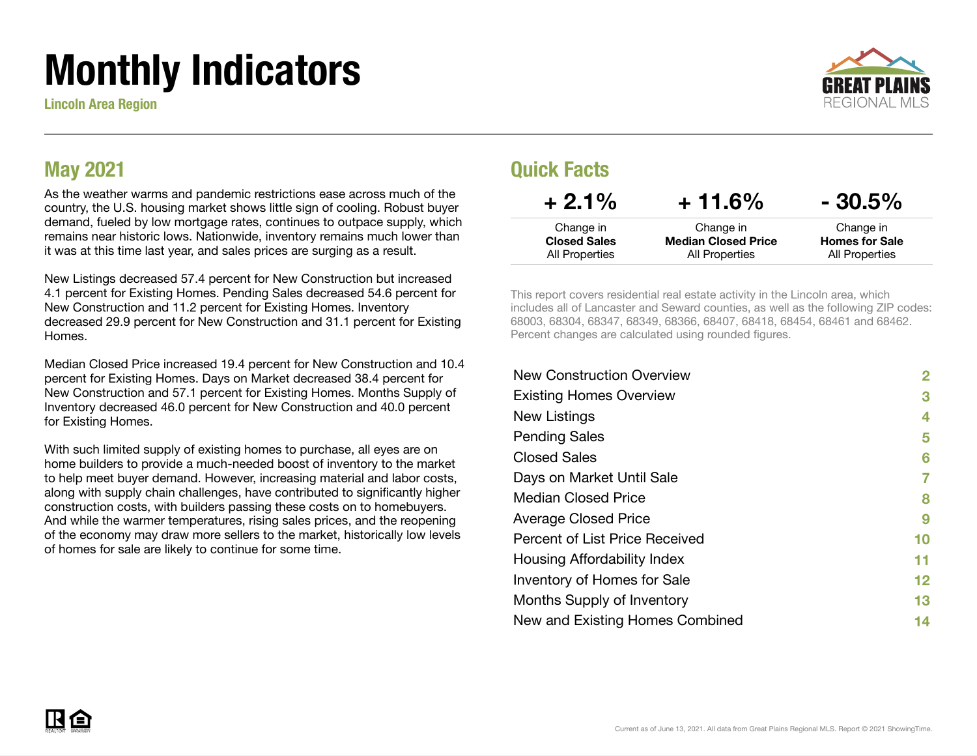# Monthly Indicators

Lincoln Area Region



#### May 2021

As the weather warms and pandemic restrictions ease across much of the country, the U.S. housing market shows little sign of cooling. Robust buyer demand, fueled by low mortgage rates, continues to outpace supply, which remains near historic lows. Nationwide, inventory remains much lower than it was at this time last year, and sales prices are surging as a result.

New Listings decreased 57.4 percent for New Construction but increased 4.1 percent for Existing Homes. Pending Sales decreased 54.6 percent for New Construction and 11.2 percent for Existing Homes. Inventory decreased 29.9 percent for New Construction and 31.1 percent for Existing Homes.

Median Closed Price increased 19.4 percent for New Construction and 10.4 percent for Existing Homes. Days on Market decreased 38.4 percent for New Construction and 57.1 percent for Existing Homes. Months Supply of Inventory decreased 46.0 percent for New Construction and 40.0 percent for Existing Homes.

With such limited supply of existing homes to purchase, all eyes are on home builders to provide a much-needed boost of inventory to the market to help meet buyer demand. However, increasing material and labor costs, along with supply chain challenges, have contributed to significantly higher construction costs, with builders passing these costs on to homebuyers. And while the warmer temperatures, rising sales prices, and the reopening of the economy may draw more sellers to the market, historically low levels of homes for sale are likely to continue for some time.

#### Quick Facts

| $+2.1%$             | $+11.6%$                   | $-30.5\%$             |
|---------------------|----------------------------|-----------------------|
| Change in           | Change in                  | Change in             |
| <b>Closed Sales</b> | <b>Median Closed Price</b> | <b>Homes for Sale</b> |
| All Properties      | All Properties             | All Properties        |

This report covers residential real estate activity in the Lincoln area, which includes all of Lancaster and Seward counties, as well as the following ZIP codes: 68003, 68304, 68347, 68349, 68366, 68407, 68418, 68454, 68461 and 68462. Percent changes are calculated using rounded figures.

| <b>New Construction Overview</b> | 2       |
|----------------------------------|---------|
| <b>Existing Homes Overview</b>   | 3       |
| New Listings                     | 4       |
| <b>Pending Sales</b>             | 5       |
| <b>Closed Sales</b>              | 6       |
| Days on Market Until Sale        | 7       |
| <b>Median Closed Price</b>       | 8       |
| <b>Average Closed Price</b>      | 9       |
| Percent of List Price Received   | 10      |
| Housing Affordability Index      | 11      |
| Inventory of Homes for Sale      | $12 \,$ |
| Months Supply of Inventory       | 13      |
| New and Existing Homes Combined  | 14      |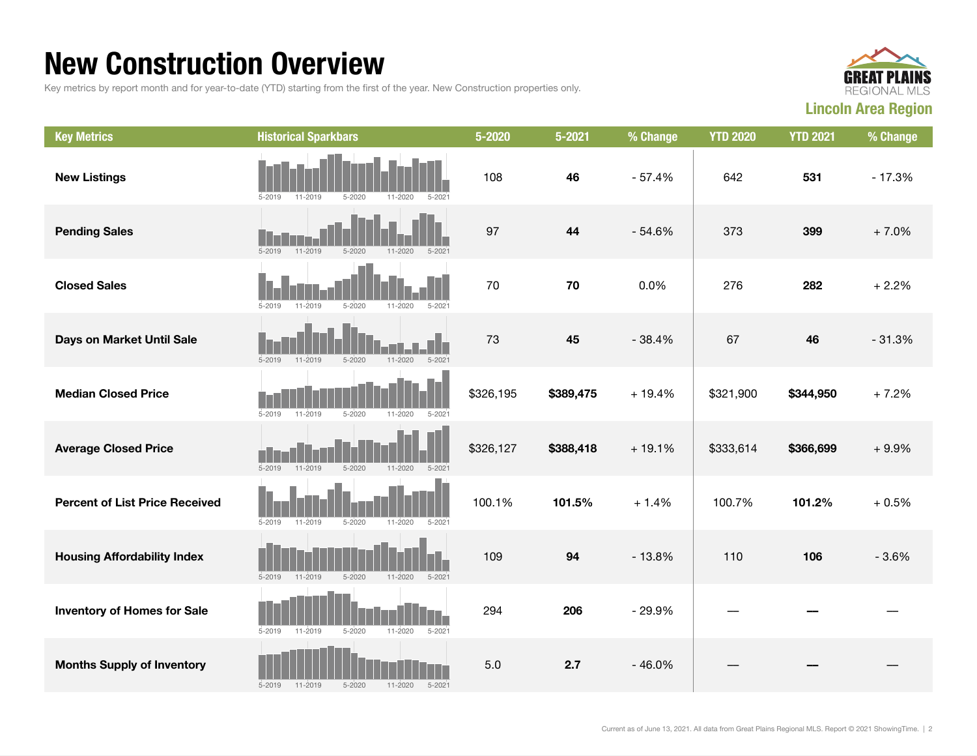#### New Construction Overview

Key metrics by report month and for year-to-date (YTD) starting from the first of the year. New Construction properties only.



| <b>Key Metrics</b>                    | <b>Historical Sparkbars</b>                                          | $5 - 2020$ | $5 - 2021$ | % Change | <b>YTD 2020</b> | <b>YTD 2021</b> | % Change |
|---------------------------------------|----------------------------------------------------------------------|------------|------------|----------|-----------------|-----------------|----------|
| <b>New Listings</b>                   | $5 - 2019$<br>11-2019<br>$5 - 2020$<br>$11 - 2020$<br>$5 - 202$      | 108        | 46         | $-57.4%$ | 642             | 531             | $-17.3%$ |
| <b>Pending Sales</b>                  | $5 - 2019$<br>$11 - 2019$<br>$5 - 2020$<br>$11 - 2020$<br>$5 - 2021$ | 97         | 44         | $-54.6%$ | 373             | 399             | $+7.0%$  |
| <b>Closed Sales</b>                   | $5 - 2020$<br>11-2020<br>$5 - 202$<br>$5 - 2019$<br>11-2019          | 70         | 70         | 0.0%     | 276             | 282             | $+2.2%$  |
| Days on Market Until Sale             | $5 - 2019$<br>$11 - 2019$<br>$5 - 2020$<br>$11 - 2020$<br>$5 - 2021$ | 73         | 45         | $-38.4%$ | 67              | 46              | $-31.3%$ |
| <b>Median Closed Price</b>            | $5 - 2020$<br>$11 - 2020$<br>$5 - 202$<br>$5 - 2019$<br>$11 - 2019$  | \$326,195  | \$389,475  | $+19.4%$ | \$321,900       | \$344,950       | $+7.2%$  |
| <b>Average Closed Price</b>           | $5 - 2019$<br>$5 - 2020$<br>$11 - 2020$<br>$5 - 2021$<br>11-2019     | \$326,127  | \$388,418  | $+19.1%$ | \$333,614       | \$366,699       | $+9.9%$  |
| <b>Percent of List Price Received</b> | $5 - 2019$<br>11-2019<br>$5 - 2020$<br>11-2020<br>$5 - 2021$         | 100.1%     | 101.5%     | $+1.4%$  | 100.7%          | 101.2%          | $+0.5%$  |
| <b>Housing Affordability Index</b>    | $5 - 2020$<br>$11 - 2020$<br>$5 - 2019$<br>$11 - 2019$<br>$5 - 2021$ | 109        | 94         | $-13.8%$ | 110             | 106             | $-3.6%$  |
| <b>Inventory of Homes for Sale</b>    | 11-2019<br>$5 - 2020$<br>$11 - 2020$<br>$5 - 2021$<br>$5 - 2019$     | 294        | 206        | $-29.9%$ |                 |                 |          |
| <b>Months Supply of Inventory</b>     | 11-2019<br>$5 - 2020$<br>$11 - 2020$<br>$5 - 2019$<br>$5 - 2021$     | 5.0        | 2.7        | $-46.0%$ |                 |                 |          |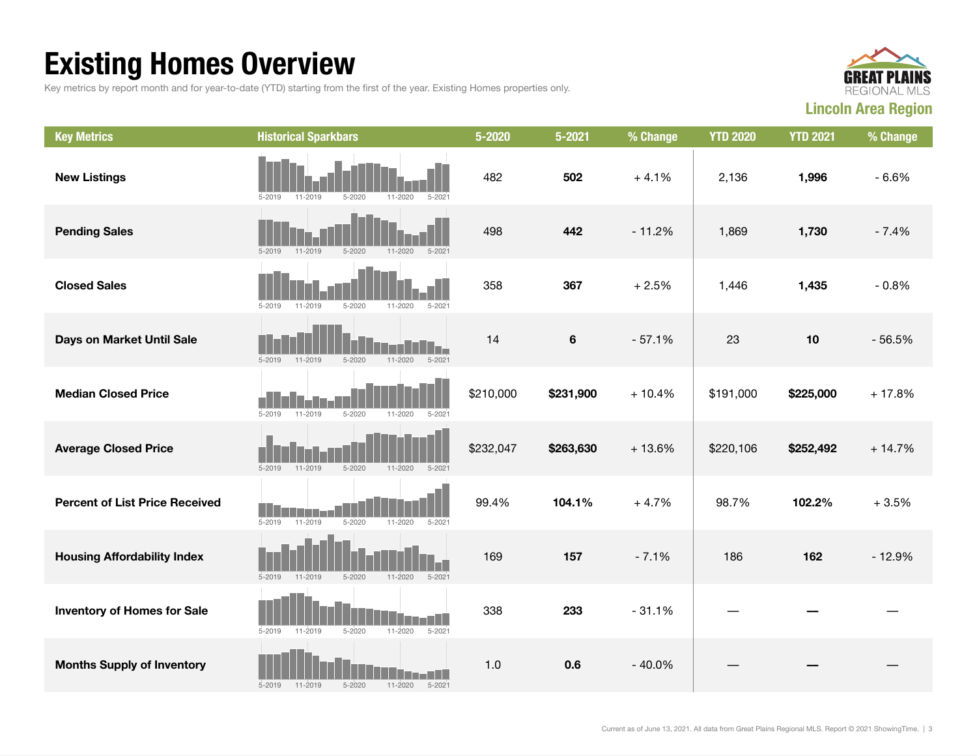## Existing Homes Overview

Key metrics by report month and for year-to-date (YTD) starting from the first of the year. Existing Homes properties only.



| <b>Key Metrics</b>                    | <b>Historical Sparkbars</b>                                          | 5-2020    | $5 - 2021$ | % Change | <b>YTD 2020</b> | <b>YTD 2021</b> | % Change |
|---------------------------------------|----------------------------------------------------------------------|-----------|------------|----------|-----------------|-----------------|----------|
| <b>New Listings</b>                   | $5 - 2021$<br>$5 - 2019$<br>$5 - 2020$<br>11-2020<br>11-2019         | 482       | 502        | $+4.1%$  | 2,136           | 1,996           | $-6.6%$  |
| <b>Pending Sales</b>                  | 11-2019<br>$5 - 2020$<br>$5 - 2019$<br>$11 - 2020$<br>$5 - 2021$     | 498       | 442        | $-11.2%$ | 1,869           | 1,730           | $-7.4%$  |
| <b>Closed Sales</b>                   | $5 - 2019$<br>11-2019<br>$5 - 2020$<br>$5 - 2021$<br>11-2020         | 358       | 367        | $+2.5%$  | 1,446           | 1,435           | $-0.8%$  |
| Days on Market Until Sale             | $5 - 2019$<br>$11 - 2019$<br>$5 - 2020$<br>$11 - 2020$<br>$5 - 2021$ | 14        | 6          | $-57.1%$ | 23              | 10              | $-56.5%$ |
| <b>Median Closed Price</b>            | $5 - 2019$<br>11-2019<br>$5 - 2020$<br>$11 - 2020$<br>$5 - 2021$     | \$210,000 | \$231,900  | $+10.4%$ | \$191,000       | \$225,000       | $+17.8%$ |
| <b>Average Closed Price</b>           | $5 - 2019$<br>11-2019<br>$5 - 2020$<br>$11 - 2020$<br>$5 - 2021$     | \$232,047 | \$263,630  | $+13.6%$ | \$220,106       | \$252,492       | $+14.7%$ |
| <b>Percent of List Price Received</b> | 11-2019<br>$5 - 2020$<br>$5 - 2019$<br>$11 - 2020$<br>$5 - 2021$     | 99.4%     | 104.1%     | $+4.7%$  | 98.7%           | 102.2%          | $+3.5%$  |
| <b>Housing Affordability Index</b>    | $5 - 2019$<br>11-2019<br>$5 - 2020$<br>$11 - 2020$<br>$5 - 2021$     | 169       | 157        | $-7.1%$  | 186             | 162             | $-12.9%$ |
| <b>Inventory of Homes for Sale</b>    | $5 - 2020$<br>$5 - 2021$<br>$5 - 2019$<br>11-2019<br>11-2020         | 338       | 233        | $-31.1%$ |                 |                 |          |
| <b>Months Supply of Inventory</b>     | $5 - 2021$<br>$5 - 2019$<br>11-2019<br>$5 - 2020$<br>$11 - 2020$     | 1.0       | 0.6        | $-40.0%$ |                 |                 |          |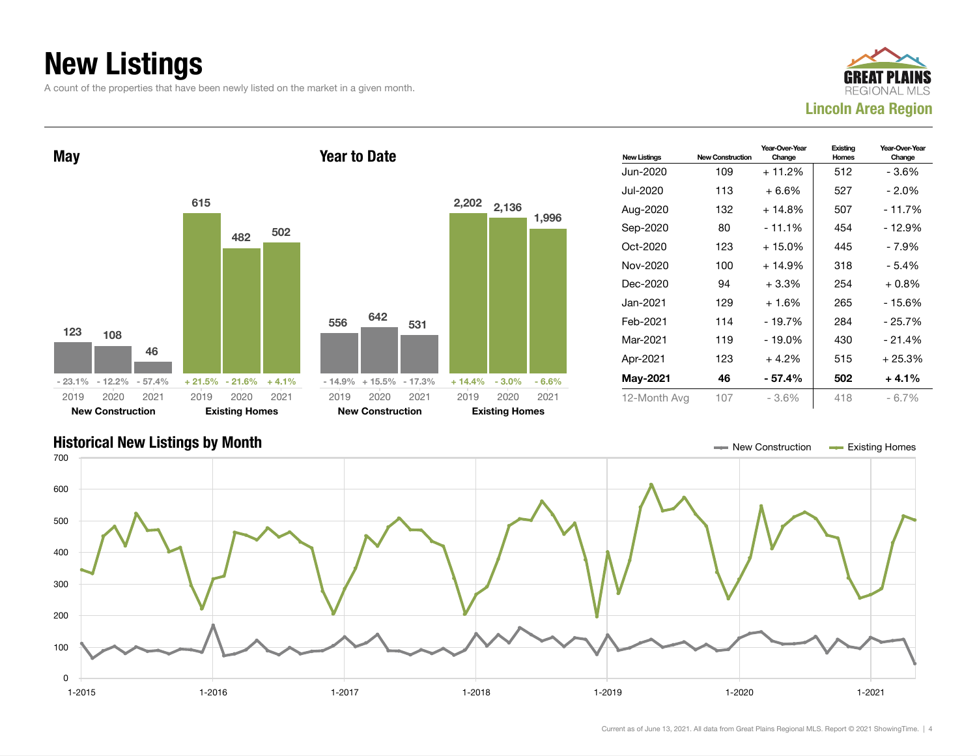## New Listings

A count of the properties that have been newly listed on the market in a given month.





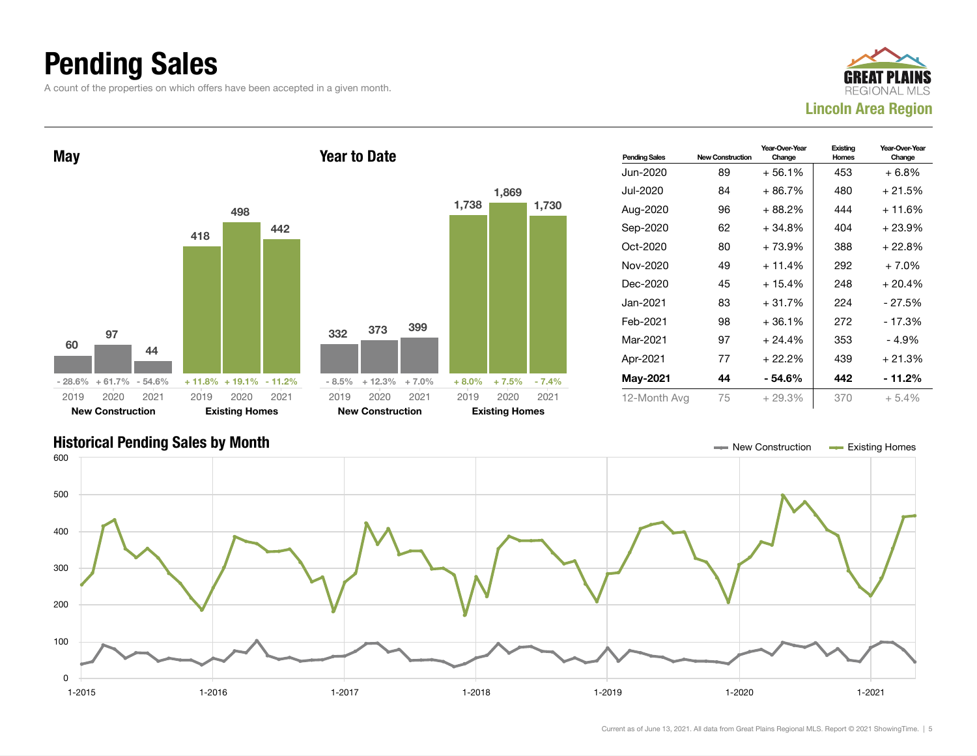### Pending Sales

A count of the properties on which offers have been accepted in a given month.





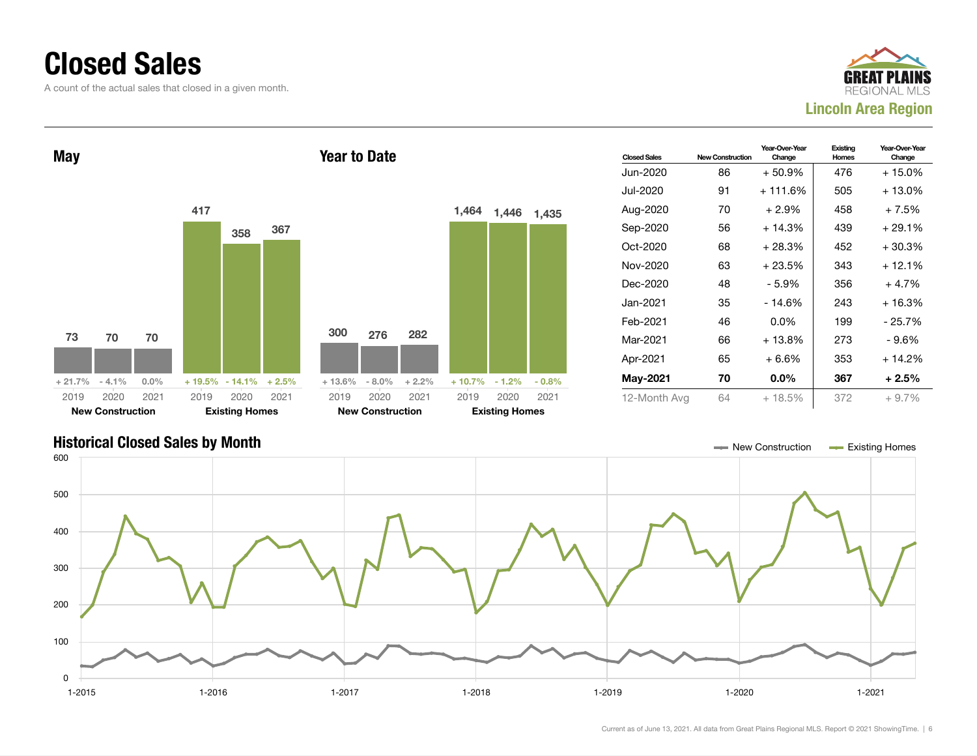#### Closed Sales

A count of the actual sales that closed in a given month.





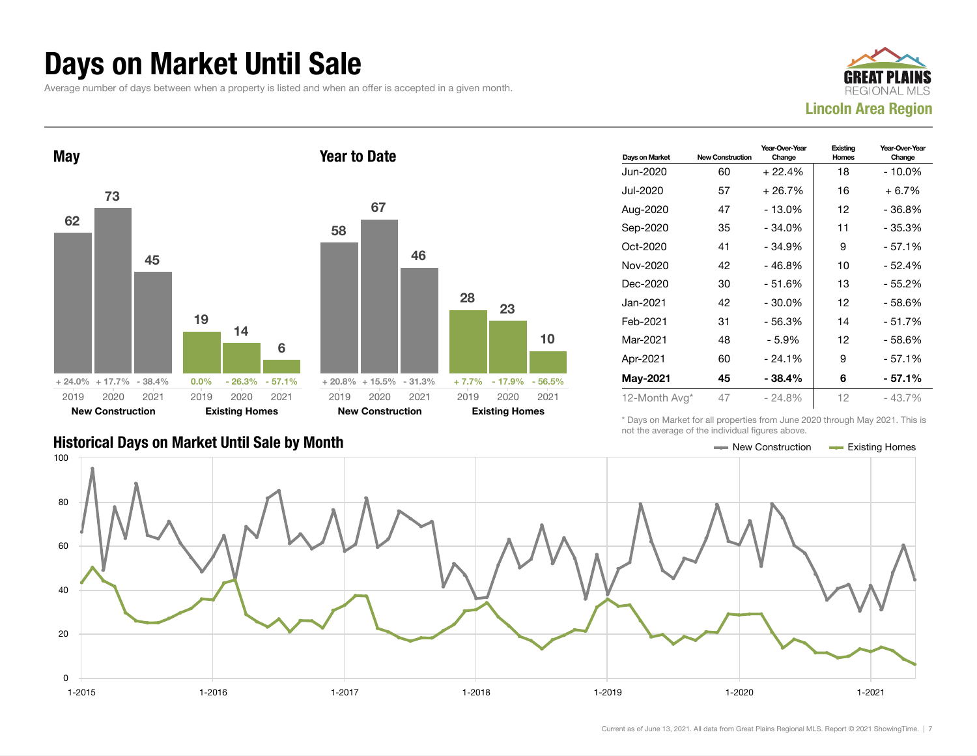#### Days on Market Until Sale

Average number of days between when a property is listed and when an offer is accepted in a given month.





| Days on Market | <b>New Construction</b> | Year-Over-Year<br>Change | Existing<br><b>Homes</b> | Year-Over-Year<br>Change |
|----------------|-------------------------|--------------------------|--------------------------|--------------------------|
| Jun-2020       | 60                      | $+22.4%$                 | 18                       | - 10.0%                  |
| Jul-2020       | 57                      | $+26.7%$                 | 16                       | $+6.7%$                  |
| Aug-2020       | 47                      | $-13.0%$                 | 12                       | - 36.8%                  |
| Sep-2020       | 35                      | $-34.0%$                 | 11                       | $-35.3%$                 |
| Oct-2020       | 41                      | $-34.9%$                 | 9                        | $-57.1%$                 |
| Nov-2020       | 42                      | $-46.8%$                 | 10                       | - 52.4%                  |
| Dec-2020       | 30                      | $-51.6%$                 | 13                       | $-55.2%$                 |
| Jan-2021.      | 42                      | $-30.0\%$                | 12                       | - 58.6%                  |
| Feb-2021       | 31                      | - 56.3%                  | 14                       | $-51.7%$                 |
| Mar-2021       | 48                      | - 5.9%                   | 12                       | - 58.6%                  |
| Apr-2021       | 60                      | $-24.1%$                 | 9                        | - 57.1%                  |
| May-2021       | 45                      | $-38.4%$                 | 6                        | - 57.1%                  |
| 12-Month Avg*  | 47                      | $-24.8%$                 | 12                       | - 43.7%                  |

Historical Days on Market Until Sale by Month New York New York New York New York New York New York Homes Existing Homes

\* Days on Market for all properties from June 2020 through May 2021. This is not the average of the individual figures above.



10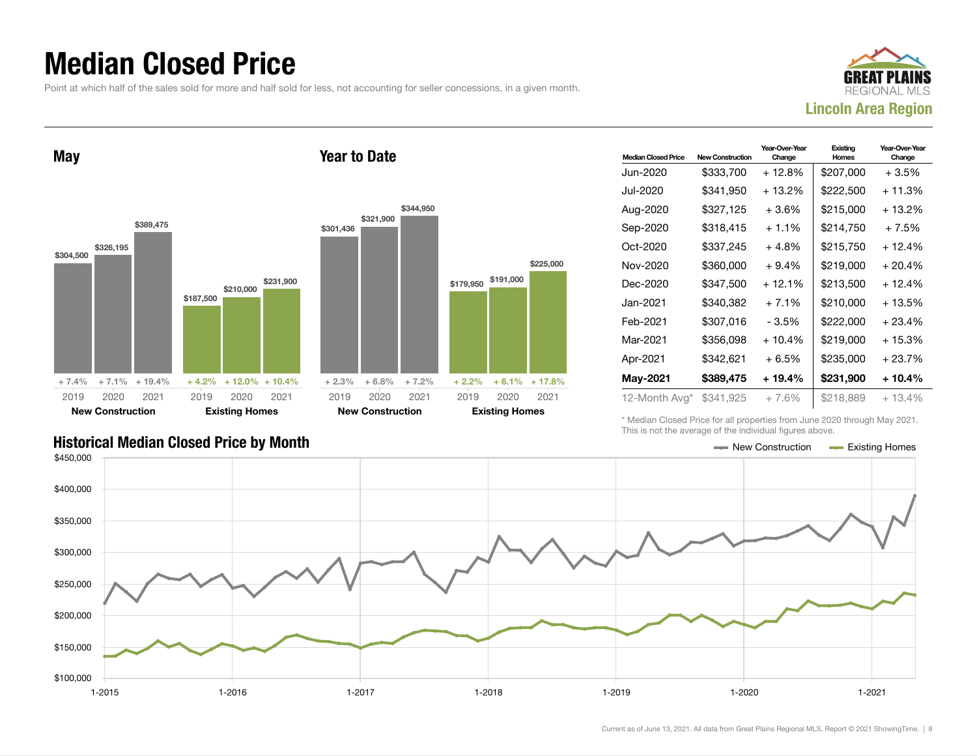#### Median Closed Price

Point at which half of the sales sold for more and half sold for less, not accounting for seller concessions, in a given month.



May \$304,500 \$326,195 \$389,475  $+ 7.4\% + 7.1\% + 19.4\%$ \$187,500 \$210,000 \$231,900  $+4.2\%$  + 12.0% + 10.4% 2019 New Construction 2020 2021 2019 Existing Homes 2020 2021 Year to Date \$301,436 \$321,900 \$344,950  $+ 2.3\% + 6.8\% + 7.2\%$ 2019 New Construction 2020 2021 2019

| <b>Median Closed Price</b> | <b>New Construction</b> | Year-Over-Year<br>Change | Existing<br>Homes | Year-Over-Year<br>Change |
|----------------------------|-------------------------|--------------------------|-------------------|--------------------------|
| Jun-2020                   | \$333,700               | + 12.8%                  | \$207,000         | + 3.5%                   |
| Jul-2020.                  | \$341,950               | $+13.2%$                 | \$222,500         | + 11.3%                  |
| Aug-2020                   | \$327,125               | $+3.6%$                  | \$215.000         | + 13.2%                  |
| Sep-2020                   | \$318,415               | $+1.1%$                  | \$214.750         | $+7.5%$                  |
| Oct-2020                   | \$337,245               | + 4.8%                   | \$215,750         | $+12.4%$                 |
| Nov-2020                   | \$360,000               | $+9.4%$                  | \$219,000         | $+20.4%$                 |
| Dec-2020                   | \$347,500               | $+12.1%$                 | \$213,500         | + 12.4%                  |
| Jan-2021.                  | \$340,382               | $+7.1%$                  | \$210,000         | + 13.5%                  |
| Feb-2021                   | \$307,016               | - 3.5%                   | \$222,000         | $+23.4%$                 |
| Mar-2021                   | \$356,098               | $+10.4%$                 | \$219,000         | + 15.3%                  |
| Apr-2021                   | \$342,621               | $+6.5%$                  | \$235,000         | + 23.7%                  |
| <b>May-2021</b>            | \$389,475               | + 19.4%                  | \$231,900         | + 10.4%                  |
| 12-Month Avg*              | \$341,925               | $+7.6\%$                 | \$218,889         | $+13.4%$                 |

Historical Median Closed Price by Month **New Construction According Closed Price by Month** New Construction According Homes

\* Median Closed Price for all properties from June 2020 through May 2021. This is not the average of the individual figures above.



\$179,950

\$191,000

 $+ 2.2\% + 6.1\% + 17.8\%$ 

Existing Homes 2020 2021

\$225,000

Current as of June 13, 2021. All data from Great Plains Regional MLS. Report © 2021 ShowingTime. | 8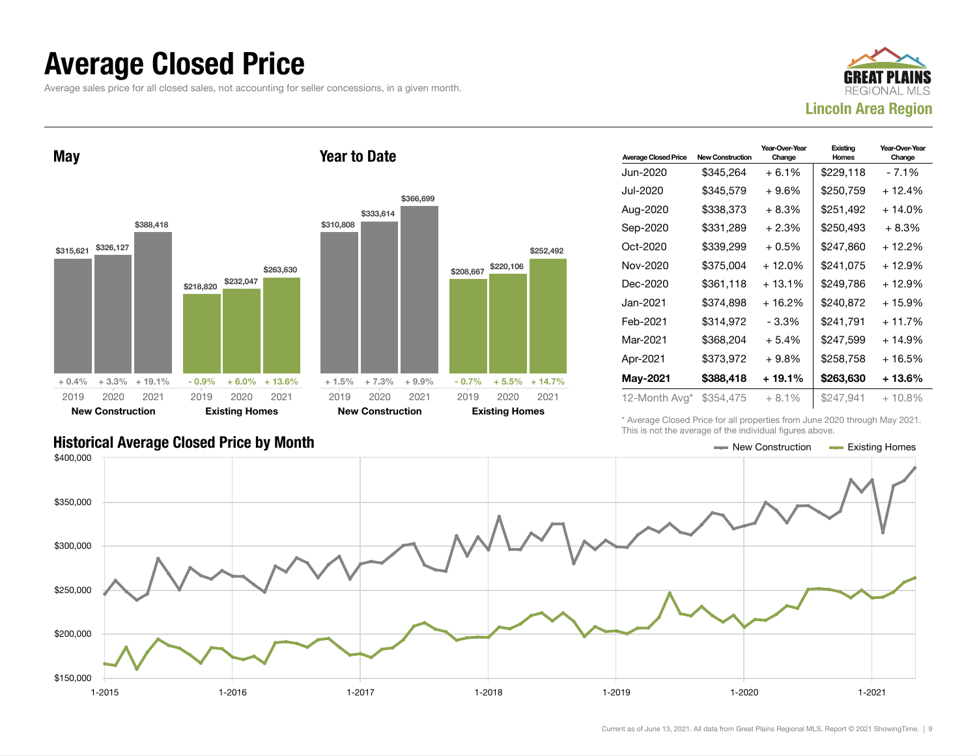#### Average Closed Price

Average sales price for all closed sales, not accounting for seller concessions, in a given month.



May \$315,621 \$326,127 \$388,418  $+ 0.4\% + 3.3\% + 19.1\%$ \$218,820 \$232,047 \$263,630  $-0.9\%$  + 6.0% + 13.6% 2019 New Construction 2020 2021 2019 Existing Homes 2020 2021 Year to Date \$310,808 \$333,614 \$366,699 + 1.5% + 7.3% + 9.9% \$208,667 \$220,106 \$252,492  $-0.7\%$   $+5.5\%$   $+14.7\%$ 2019 New Construction 2020 2021 2019 Existing Homes 2020 2021

| <b>Average Closed Price</b> | <b>New Construction</b> | Year-Over-Year<br>Change | Existing<br><b>Homes</b> | Year-Over-Year<br>Change |
|-----------------------------|-------------------------|--------------------------|--------------------------|--------------------------|
| Jun-2020                    | \$345.264               | + 6.1%                   | \$229,118                | - 7.1%                   |
| Jul-2020                    | \$345,579               | $+9.6%$                  | \$250,759                | + 12.4%                  |
| Aug-2020                    | \$338,373               | $+8.3%$                  | \$251,492                | $+14.0%$                 |
| Sep-2020                    | \$331,289               | $+2.3%$                  | \$250,493                | $+8.3%$                  |
| Oct-2020                    | \$339,299               | $+0.5%$                  | \$247,860                | + 12.2%                  |
| Nov-2020                    | \$375,004               | $+12.0%$                 | \$241,075                | + 12.9%                  |
| Dec-2020                    | \$361,118               | $+13.1%$                 | \$249,786                | + 12.9%                  |
| Jan-2021                    | \$374,898               | $+16.2%$                 | \$240,872                | $+15.9%$                 |
| Feb-2021                    | \$314,972               | $-3.3%$                  | \$241.791                | + 11.7%                  |
| Mar-2021                    | \$368,204               | $+5.4%$                  | \$247,599                | $+14.9%$                 |
| Apr-2021                    | \$373,972               | $+9.8%$                  | \$258,758                | $+16.5%$                 |
| May-2021                    | \$388,418               | + 19.1%                  | \$263,630                | + 13.6%                  |
| 12-Month Avg*               | \$354,475               | $+8.1%$                  | \$247,941                | $+10.8\%$                |

Historical Average Closed Price by Month **New Construction Average Closed Price by Month** New Construction **New Construction** 

\* Average Closed Price for all properties from June 2020 through May 2021. This is not the average of the individual figures above.

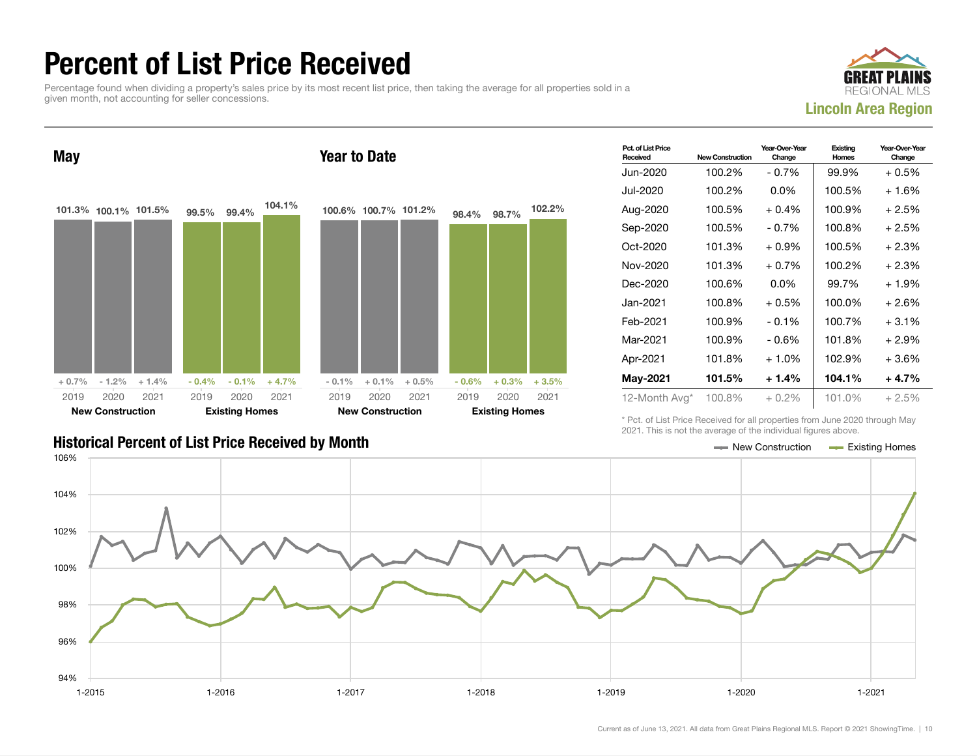### Percent of List Price Received

Percentage found when dividing a property's sales price by its most recent list price, then taking the average for all properties sold in a given month, not accounting for seller concessions.



May 101.3% 100.1% 101.5%  $+0.7\%$   $-1.2\%$   $+1.4\%$ 99.5% 99.4% 104.1%  $-0.4\%$   $-0.1\%$   $+4.7\%$ 2019 New Construction 2020 2021 2019 Existing Homes 2020 2021 Year to Date 100.6% 100.7% 101.2%  $-0.1\% + 0.1\% + 0.5\%$ 98.4% 98.7% 102.2%  $-0.6\%$   $+0.3\%$   $+3.5\%$ 2019 New Construction 2020 2021 2019 Existing Homes 2020 2021

| Pct. of List Price<br>Received | <b>New Construction</b> | Year-Over-Year<br>Change | Existing<br>Homes | Year-Over-Year<br>Change |
|--------------------------------|-------------------------|--------------------------|-------------------|--------------------------|
| Jun-2020                       | 100.2%                  | $-0.7%$                  | 99.9%             | $+0.5%$                  |
| Jul-2020.                      | 100.2%                  | $0.0\%$                  | 100.5%            | $+1.6%$                  |
| Aug-2020                       | 100.5%                  | $+0.4\%$                 | 100.9%            | $+2.5%$                  |
| Sep-2020                       | 100.5%                  | $-0.7\%$                 | 100.8%            | $+2.5%$                  |
| Oct-2020                       | 101.3%                  | $+0.9\%$                 | 100.5%            | $+2.3%$                  |
| Nov-2020                       | 101.3%                  | $+0.7\%$                 | 100.2%            | $+2.3%$                  |
| Dec-2020                       | 100.6%                  | $0.0\%$                  | 99.7%             | $+1.9%$                  |
| Jan-2021.                      | 100.8%                  | $+0.5\%$                 | 100.0%            | $+2.6%$                  |
| Feb-2021                       | 100.9%                  | $-0.1%$                  | 100.7%            | $+3.1%$                  |
| Mar-2021                       | 100.9%                  | $-0.6%$                  | 101.8%            | $+2.9\%$                 |
| Apr-2021                       | 101.8%                  | $+1.0\%$                 | 102.9%            | $+3.6%$                  |
| <b>May-2021</b>                | 101.5%                  | $+1.4%$                  | 104.1%            | $+4.7%$                  |
| 12-Month Avg*                  | 100.8%                  | $+0.2%$                  | 101.0%            | $+2.5%$                  |

Historical Percent of List Price Received by Month New York New York New York New York New York New York New York New York New York New York New York New York New York New York New York New York New York New York New York

\* Pct. of List Price Received for all properties from June 2020 through May 2021. This is not the average of the individual figures above.

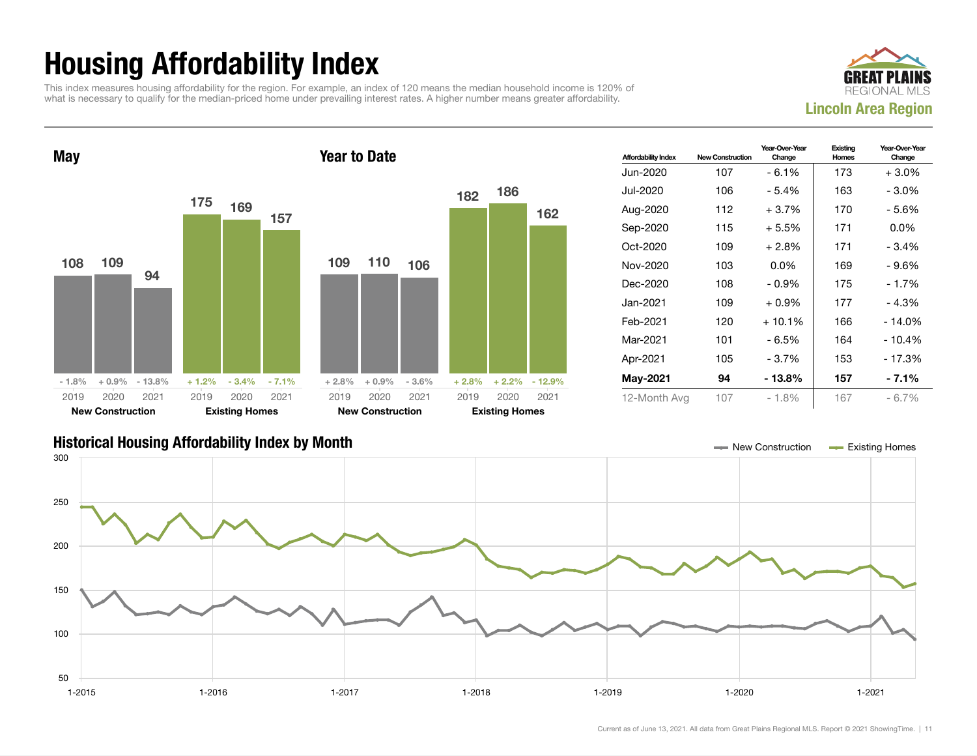## Housing Affordability Index

This index measures housing affordability for the region. For example, an index of 120 means the median household income is 120% of what is necessary to qualify for the median-priced home under prevailing interest rates. A higher number means greater affordability.





| <b>Affordability Index</b> | <b>New Construction</b> | Year-Over-Year<br>Change | Existing<br>Homes | Year-Over-Year<br>Change |
|----------------------------|-------------------------|--------------------------|-------------------|--------------------------|
| Jun-2020                   | 107                     | $-6.1%$                  | 173               | $+3.0\%$                 |
| Jul-2020                   | 106                     | - 5.4%                   | 163               | $-3.0\%$                 |
| Aug-2020                   | 112                     | $+3.7%$                  | 170               | - 5.6%                   |
| Sep-2020                   | 115                     | $+5.5%$                  | 171               | $0.0\%$                  |
| Oct-2020                   | 109                     | $+2.8\%$                 | 171               | $-3.4%$                  |
| Nov-2020                   | 103                     | $0.0\%$                  | 169               | - 9.6%                   |
| Dec-2020                   | 108                     | $-0.9%$                  | 175               | $-1.7%$                  |
| Jan-2021 <b>.</b>          | 109                     | $+0.9\%$                 | 177               | $-4.3%$                  |
| Feb-2021                   | 120                     | $+10.1%$                 | 166               | $-14.0%$                 |
| Mar-2021                   | 101                     | - 6.5%                   | 164               | $-10.4%$                 |
| Apr-2021                   | 105                     | - 3.7%                   | 153               | $-17.3%$                 |
| <b>May-2021</b>            | 94                      | - 13.8%                  | 157               | - 7.1%                   |
| 12-Month Avg               | 107                     | - 1.8%                   | 167               | $-6.7\%$                 |

#### Historical Housing Affordability Index by Month New Construction Existing Homes

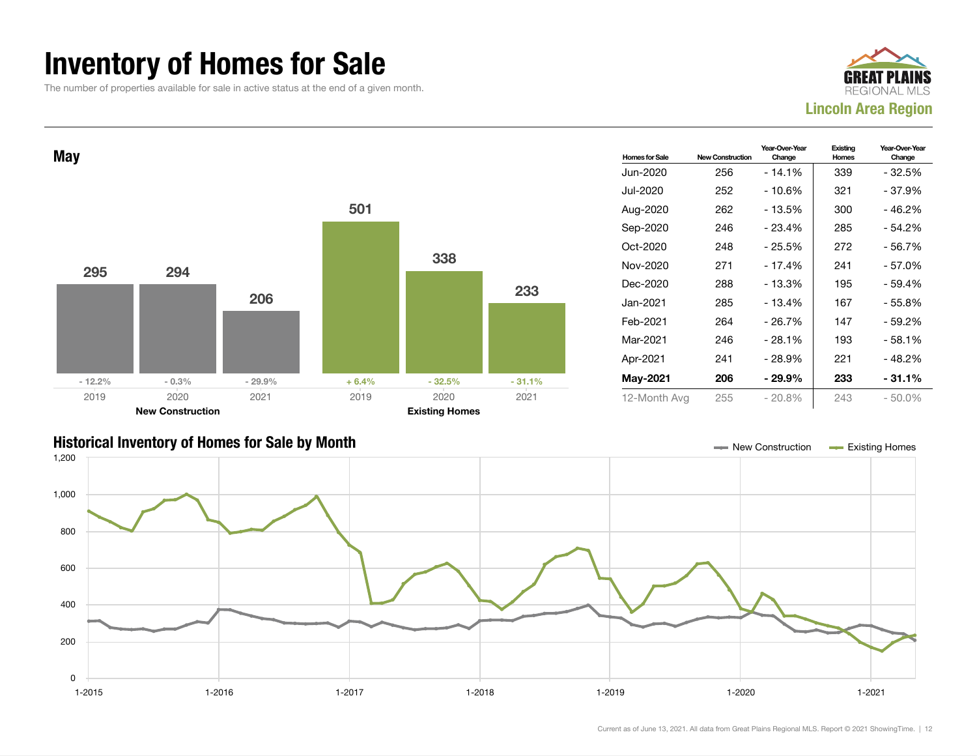#### Inventory of Homes for Sale

The number of properties available for sale in active status at the end of a given month.





#### Historical Inventory of Homes for Sale by Month New Construction Existing Homes

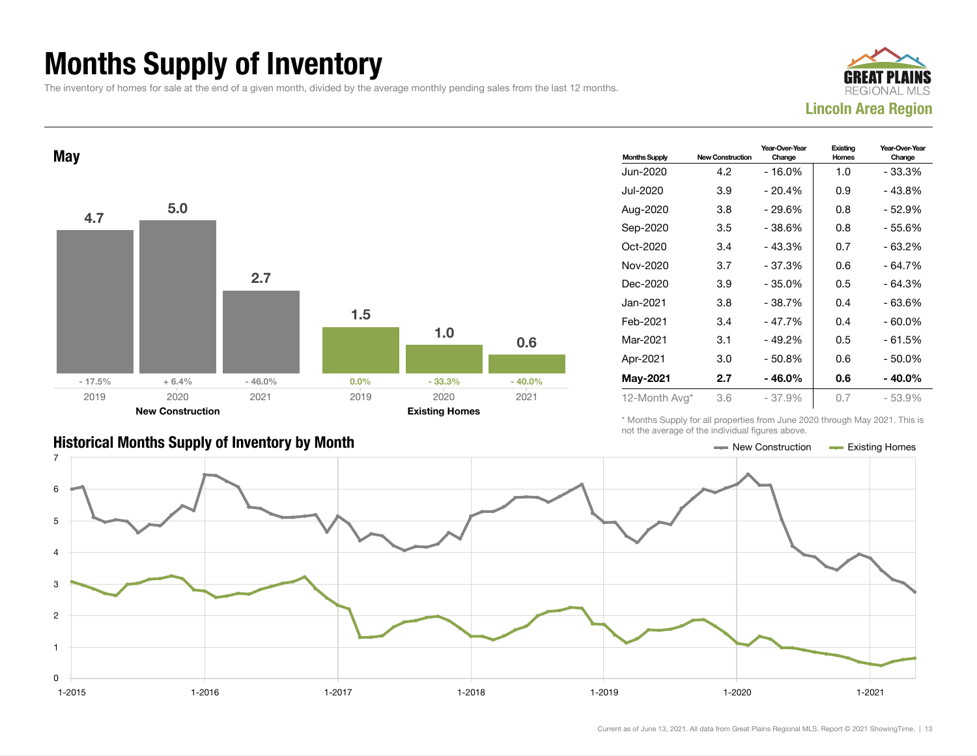## Months Supply of Inventory

The inventory of homes for sale at the end of a given month, divided by the average monthly pending sales from the last 12 months.





| <b>Historical Months Supply of Inventory by Month</b> | New Construction | <b>Existing Homes</b> |
|-------------------------------------------------------|------------------|-----------------------|

| <b>Months Supply</b> | <b>New Construction</b> | Year-Over-Year<br>Change | Existing<br>Homes | Year-Over-Year<br>Change |
|----------------------|-------------------------|--------------------------|-------------------|--------------------------|
| Jun-2020             | 4.2                     | $-16.0%$                 | 1.0               | $-33.3%$                 |
| Jul-2020.            | 3.9                     | - 20.4%                  | 0.9               | - 43.8%                  |
| Aug-2020             | 3.8                     | - 29.6%                  | 0.8               | - 52.9%                  |
| Sep-2020             | 3.5                     | $-38.6%$                 | 0.8               | - 55.6%                  |
| Oct-2020             | 3.4                     | $-43.3%$                 | 0.7               | - 63.2%                  |
| Nov-2020             | 3.7                     | $-37.3%$                 | 0.6               | $-64.7%$                 |
| Dec-2020             | 3.9                     | $-35.0%$                 | 0.5               | $-64.3%$                 |
| Jan-2021.            | 3.8                     | - 38.7%                  | 0.4               | - 63.6%                  |
| Feb-2021             | 3.4                     | $-47.7%$                 | 0.4               | - 60.0%                  |
| Mar-2021             | 3.1                     | $-49.2%$                 | 0.5               | $-61.5%$                 |
| Apr-2021             | 3.0                     | $-50.8%$                 | 0.6               | - 50.0%                  |
| <b>May-2021</b>      | 2.7                     | $-46.0\%$                | 0.6               | $-40.0%$                 |
| 12-Month Avg*        | 3.6                     | $-37.9%$                 | 0.7               | $-53.9%$                 |

\* Months Supply for all properties from June 2020 through May 2021. This is not the average of the individual figures above.